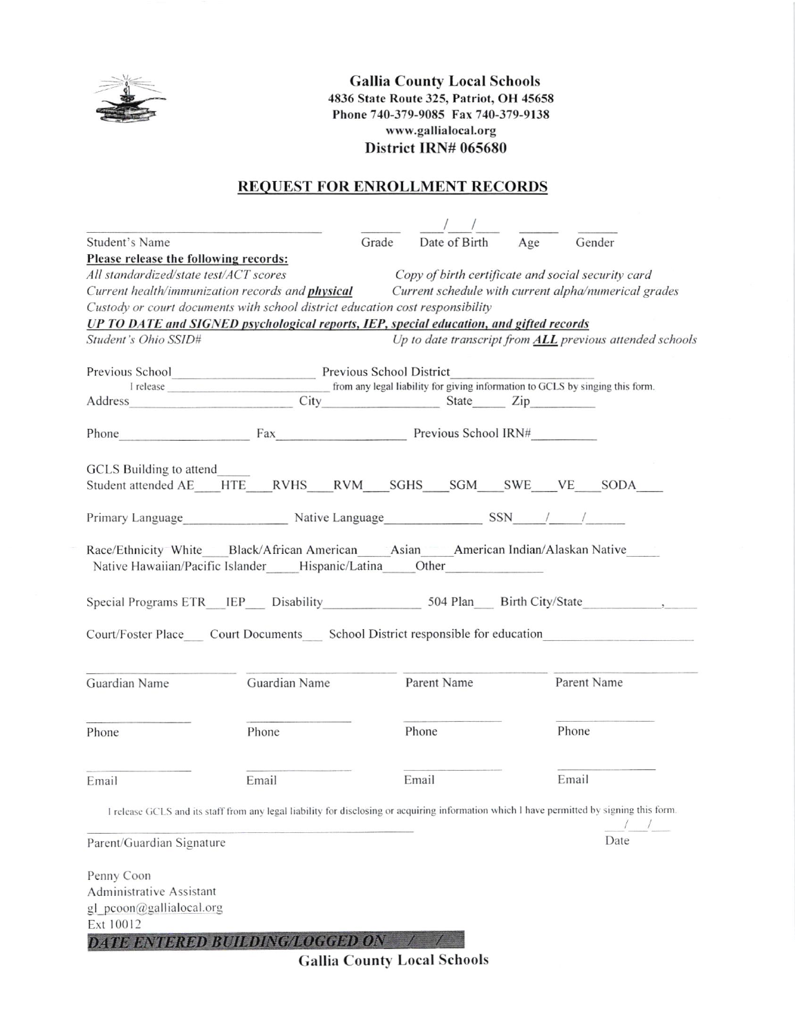

**Gallia County Local Schools** 4836 State Route 325, Patriot, OH 45658 Phone 740-379-9085 Fax 740-379-9138 www.gallialocal.org District IRN# 065680

## **REQUEST FOR ENROLLMENT RECORDS**

| Student's Name                                                                                                                             |                              | Grade | Date of Birth | Age | Gender                                                                                                                                     |
|--------------------------------------------------------------------------------------------------------------------------------------------|------------------------------|-------|---------------|-----|--------------------------------------------------------------------------------------------------------------------------------------------|
| Please release the following records:                                                                                                      |                              |       |               |     |                                                                                                                                            |
| All standardized/state test/ACT scores                                                                                                     |                              |       |               |     | Copy of birth certificate and social security card                                                                                         |
| Current health/immunization records and <i>physical</i>                                                                                    |                              |       |               |     | Current schedule with current alpha/numerical grades                                                                                       |
| Custody or court documents with school district education cost responsibility                                                              |                              |       |               |     |                                                                                                                                            |
| UP TO DATE and SIGNED psychological reports, IEP, special education, and gifted records                                                    |                              |       |               |     |                                                                                                                                            |
| Student's Ohio SSID#                                                                                                                       |                              |       |               |     | Up to date transcript from <b>ALL</b> previous attended schools                                                                            |
| Previous School Previous School District                                                                                                   |                              |       |               |     |                                                                                                                                            |
|                                                                                                                                            |                              |       |               |     |                                                                                                                                            |
| Address                                                                                                                                    | City State Zip               |       |               |     |                                                                                                                                            |
| Phone                                                                                                                                      | Fax Fax Previous School IRN# |       |               |     |                                                                                                                                            |
| GCLS Building to attend                                                                                                                    |                              |       |               |     |                                                                                                                                            |
| Student attended AE HTE RVHS RVM SGHS SGM SWE VE SODA                                                                                      |                              |       |               |     |                                                                                                                                            |
|                                                                                                                                            |                              |       |               |     |                                                                                                                                            |
| Primary Language Mative Language SSN / /                                                                                                   |                              |       |               |     |                                                                                                                                            |
| Race/Ethnicity White Black/African American Asian American Indian/Alaskan Native<br>Native Hawaiian/Pacific Islander Hispanic/Latina Other |                              |       |               |     |                                                                                                                                            |
| Special Programs ETR_IEP___ Disability______________________504 Plan____ Birth City/State                                                  |                              |       |               |     |                                                                                                                                            |
| Court/Foster Place Court Documents School District responsible for education                                                               |                              |       |               |     |                                                                                                                                            |
| Guardian Name                                                                                                                              | Guardian Name                |       | Parent Name   |     | Parent Name                                                                                                                                |
| Phone                                                                                                                                      | Phone                        |       | Phone         |     | Phone                                                                                                                                      |
| Email                                                                                                                                      | Email                        |       | Email         |     | Email                                                                                                                                      |
|                                                                                                                                            |                              |       |               |     | I release GCLS and its staff from any legal liability for disclosing or acquiring information which I have permitted by signing this form. |
| Parent/Guardian Signature                                                                                                                  |                              |       |               |     | Date                                                                                                                                       |
| Penny Coon                                                                                                                                 |                              |       |               |     |                                                                                                                                            |
| Administrative Assistant                                                                                                                   |                              |       |               |     |                                                                                                                                            |
| gl pcoon@gallialocal.org                                                                                                                   |                              |       |               |     |                                                                                                                                            |
| Ext 10012                                                                                                                                  |                              |       |               |     |                                                                                                                                            |
| <b>DATE ENTERED BUILDING/LOGGED ON</b>                                                                                                     |                              |       |               |     |                                                                                                                                            |
|                                                                                                                                            |                              |       |               |     |                                                                                                                                            |

**Gallia County Local Schools**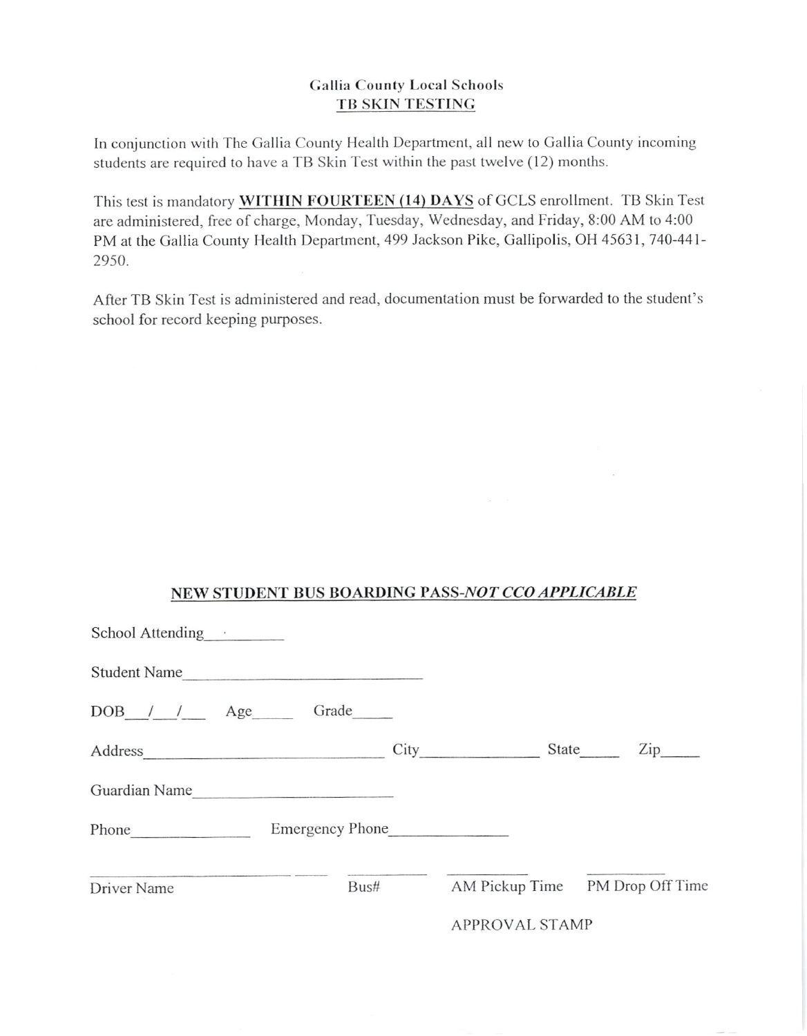## **Gallia County Local Schools** TB SKIN TESTING

In conjunction with The Gallia County Health Department, all new to Gallia County incoming students are required to have a TB Skin Test within the past twelve (12) months.

This test is mandatory WITHIN FOURTEEN (14) DAYS of GCLS enrollment. TB Skin Test are administered, free of charge, Monday, Tuesday, Wednesday, and Friday, 8:00 AM to 4:00 PM at the Gallia County Health Department, 499 Jackson Pike, Gallipolis, OH 45631, 740-441-2950.

After TB Skin Test is administered and read, documentation must be forwarded to the student's school for record keeping purposes.

## NEW STUDENT BUS BOARDING PASS-NOT CCO APPLICABLE

| School Attending |                   |                 |                |                                      |
|------------------|-------------------|-----------------|----------------|--------------------------------------|
|                  | Student Name      |                 |                |                                      |
|                  | DOB / / Age Grade |                 |                |                                      |
|                  |                   | City            |                | $\mathsf{Zip}_{\_\_}$<br>State       |
|                  | Guardian Name     |                 |                |                                      |
| Phone            |                   | Emergency Phone |                |                                      |
| Driver Name      |                   |                 |                | Bus# AM Pickup Time PM Drop Off Time |
|                  |                   |                 | APPROVAL STAMP |                                      |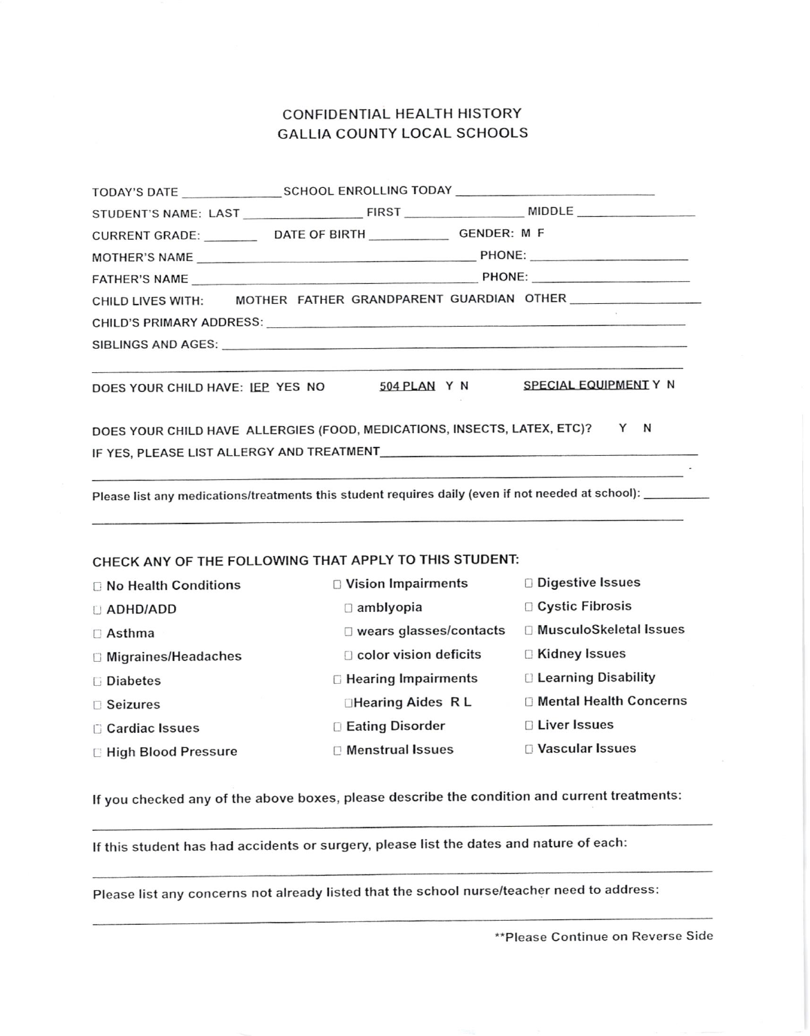## CONFIDENTIAL HEALTH HISTORY **GALLIA COUNTY LOCAL SCHOOLS**

| CURRENT GRADE: _______________ DATE OF BIRTH ___________________ GENDER: M F                               |                              |                                  |  |  |  |  |  |
|------------------------------------------------------------------------------------------------------------|------------------------------|----------------------------------|--|--|--|--|--|
|                                                                                                            |                              |                                  |  |  |  |  |  |
|                                                                                                            |                              |                                  |  |  |  |  |  |
| CHILD LIVES WITH: MOTHER FATHER GRANDPARENT GUARDIAN OTHER                                                 |                              |                                  |  |  |  |  |  |
|                                                                                                            |                              |                                  |  |  |  |  |  |
|                                                                                                            |                              |                                  |  |  |  |  |  |
| DOES YOUR CHILD HAVE: IEP YES NO                                                                           | 504 PLAN Y N                 | SPECIAL EQUIPMENT Y N            |  |  |  |  |  |
| DOES YOUR CHILD HAVE ALLERGIES (FOOD, MEDICATIONS, INSECTS, LATEX, ETC)?<br>Y N                            |                              |                                  |  |  |  |  |  |
|                                                                                                            |                              |                                  |  |  |  |  |  |
| Please list any medications/treatments this student requires daily (even if not needed at school): _______ |                              |                                  |  |  |  |  |  |
| CHECK ANY OF THE FOLLOWING THAT APPLY TO THIS STUDENT:                                                     |                              |                                  |  |  |  |  |  |
| <b>No Health Conditions</b>                                                                                | $\Box$ Vision Impairments    | <b>Digestive Issues</b>          |  |  |  |  |  |
| <b>D</b> ADHD/ADD                                                                                          | $\Box$ amblyopia             | □ Cystic Fibrosis                |  |  |  |  |  |
| □ Asthma                                                                                                   | □ wears glasses/contacts     | □ MusculoSkeletal Issues         |  |  |  |  |  |
| □ Migraines/Headaches                                                                                      | color vision deficits        | <b>E</b> Kidney Issues           |  |  |  |  |  |
| <b>Diabetes</b>                                                                                            | <b>E</b> Hearing Impairments | □ Learning Disability            |  |  |  |  |  |
| <b>Seizures</b>                                                                                            | <b>□Hearing Aides RL</b>     | <b>ID Mental Health Concerns</b> |  |  |  |  |  |
| <b>Cardiac Issues</b>                                                                                      | <b>D Eating Disorder</b>     | <b>D</b> Liver Issues            |  |  |  |  |  |
| <b>E High Blood Pressure</b>                                                                               | <b>Menstrual Issues</b>      | <b>D</b> Vascular Issues         |  |  |  |  |  |

If you checked any of the above boxes, please describe the condition and current treatments:

If this student has had accidents or surgery, please list the dates and nature of each:

Please list any concerns not already listed that the school nurse/teacher need to address:

\*\* Please Continue on Reverse Side